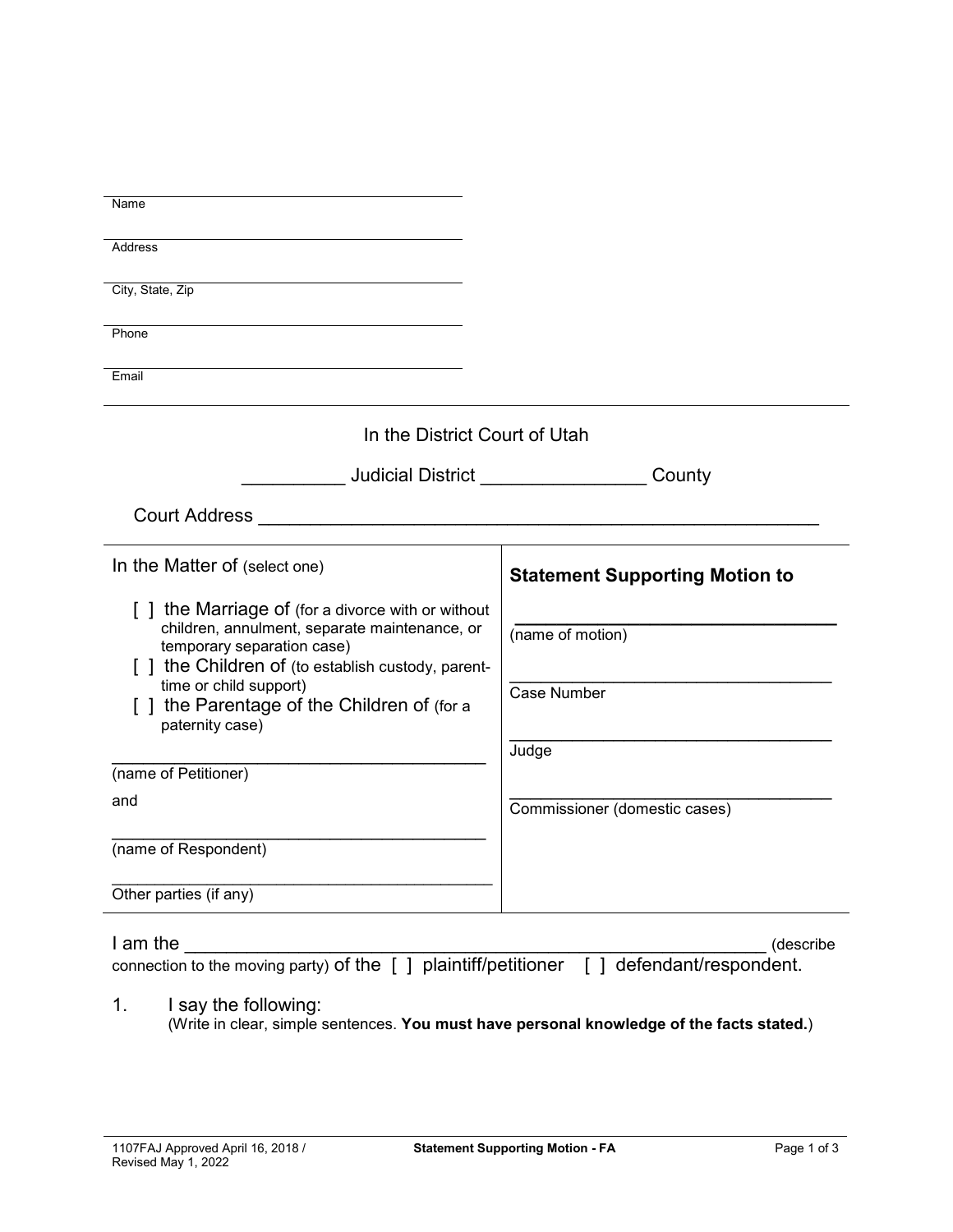| Name                                                                                      |                                       |  |  |  |  |
|-------------------------------------------------------------------------------------------|---------------------------------------|--|--|--|--|
| Address                                                                                   |                                       |  |  |  |  |
|                                                                                           |                                       |  |  |  |  |
| City, State, Zip                                                                          |                                       |  |  |  |  |
| Phone                                                                                     |                                       |  |  |  |  |
|                                                                                           |                                       |  |  |  |  |
| Email                                                                                     |                                       |  |  |  |  |
| In the District Court of Utah                                                             |                                       |  |  |  |  |
| <b>Judicial District Analysis of the United States</b>                                    | County                                |  |  |  |  |
| <b>Court Address</b>                                                                      |                                       |  |  |  |  |
| In the Matter of (select one)                                                             | <b>Statement Supporting Motion to</b> |  |  |  |  |
| [] the Marriage of (for a divorce with or without                                         |                                       |  |  |  |  |
| children, annulment, separate maintenance, or<br>temporary separation case)               | (name of motion)                      |  |  |  |  |
| [] the Children of (to establish custody, parent-                                         |                                       |  |  |  |  |
| time or child support)                                                                    | <b>Case Number</b>                    |  |  |  |  |
| [ ] the Parentage of the Children of (for a<br>paternity case)                            |                                       |  |  |  |  |
|                                                                                           | Judge                                 |  |  |  |  |
| (name of Petitioner)                                                                      |                                       |  |  |  |  |
| and                                                                                       | Commissioner (domestic cases)         |  |  |  |  |
|                                                                                           |                                       |  |  |  |  |
| (name of Respondent)                                                                      |                                       |  |  |  |  |
| Other parties (if any)                                                                    |                                       |  |  |  |  |
|                                                                                           |                                       |  |  |  |  |
| I am the                                                                                  | (describe                             |  |  |  |  |
| connection to the moving party) of the [ ] plaintiff/petitioner [ ] defendant/respondent. |                                       |  |  |  |  |
| 1.<br>I say the following:                                                                |                                       |  |  |  |  |
| (Write in clear, simple sentences. You must have personal knowledge of the facts stated.) |                                       |  |  |  |  |
|                                                                                           |                                       |  |  |  |  |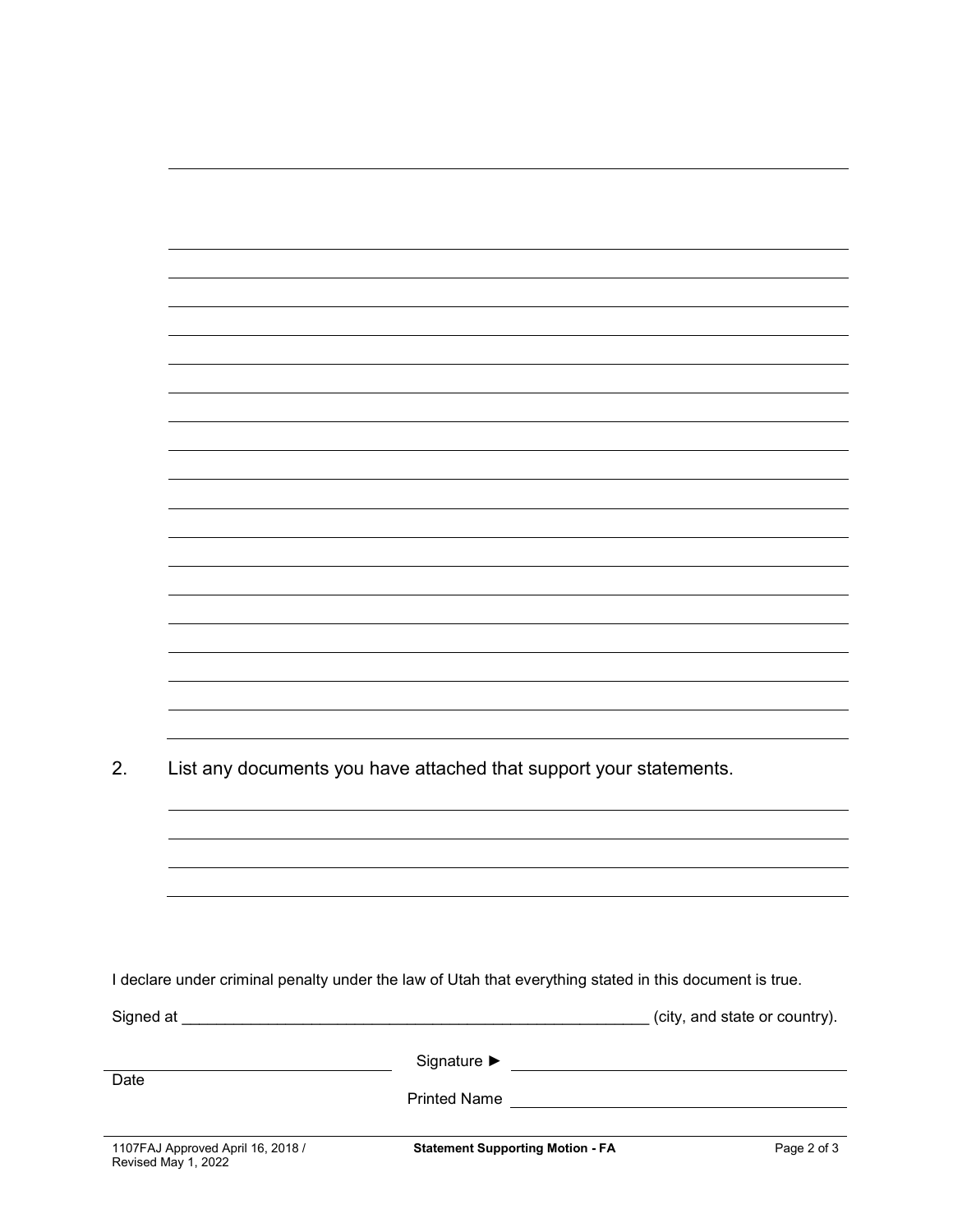| 2.   | List any documents you have attached that support your statements. |                                                                                                         |             |  |
|------|--------------------------------------------------------------------|---------------------------------------------------------------------------------------------------------|-------------|--|
|      |                                                                    |                                                                                                         |             |  |
|      |                                                                    |                                                                                                         |             |  |
|      |                                                                    |                                                                                                         |             |  |
|      |                                                                    |                                                                                                         |             |  |
|      |                                                                    |                                                                                                         |             |  |
|      |                                                                    |                                                                                                         |             |  |
|      |                                                                    | I declare under criminal penalty under the law of Utah that everything stated in this document is true. |             |  |
|      |                                                                    |                                                                                                         |             |  |
|      |                                                                    |                                                                                                         |             |  |
|      |                                                                    |                                                                                                         |             |  |
| Date |                                                                    |                                                                                                         |             |  |
|      |                                                                    |                                                                                                         |             |  |
|      | 1107FAJ Approved April 16, 2018 /<br>Revised May 1, 2022           | <b>Statement Supporting Motion - FA</b>                                                                 | Page 2 of 3 |  |

L.